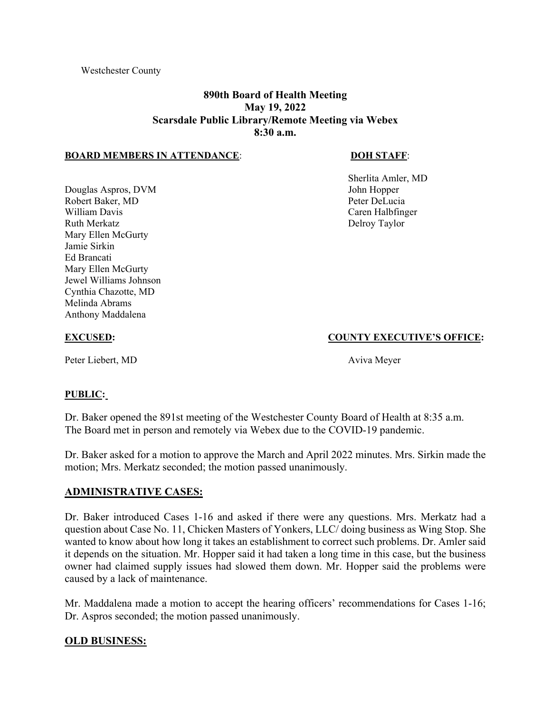# **890th Board of Health Meeting May 19, 2022 Scarsdale Public Library/Remote Meeting via Webex 8:30 a.m.**

#### **BOARD MEMBERS IN ATTENDANCE**: **DOH STAFF**:

Douglas Aspros, DVM John Hopper Robert Baker, MD Peter DeLucia William Davis **Caren Halbfinger** Caren Halbfinger Ruth Merkatz **Delroy Taylor** Delroy Taylor Mary Ellen McGurty Jamie Sirkin Ed Brancati Mary Ellen McGurty Jewel Williams Johnson Cynthia Chazotte, MD Melinda Abrams Anthony Maddalena

Sherlita Amler, MD

#### **EXCUSED: COUNTY EXECUTIVE'S OFFICE:**

Peter Liebert, MD Aviva Meyer

#### **PUBLIC:**

Dr. Baker opened the 891st meeting of the Westchester County Board of Health at 8:35 a.m. The Board met in person and remotely via Webex due to the COVID-19 pandemic.

Dr. Baker asked for a motion to approve the March and April 2022 minutes. Mrs. Sirkin made the motion; Mrs. Merkatz seconded; the motion passed unanimously.

## **ADMINISTRATIVE CASES:**

Dr. Baker introduced Cases 1-16 and asked if there were any questions. Mrs. Merkatz had a question about Case No. 11, Chicken Masters of Yonkers, LLC/ doing business as Wing Stop. She wanted to know about how long it takes an establishment to correct such problems. Dr. Amler said it depends on the situation. Mr. Hopper said it had taken a long time in this case, but the business owner had claimed supply issues had slowed them down. Mr. Hopper said the problems were caused by a lack of maintenance.

Mr. Maddalena made a motion to accept the hearing officers' recommendations for Cases 1-16; Dr. Aspros seconded; the motion passed unanimously.

## **OLD BUSINESS:**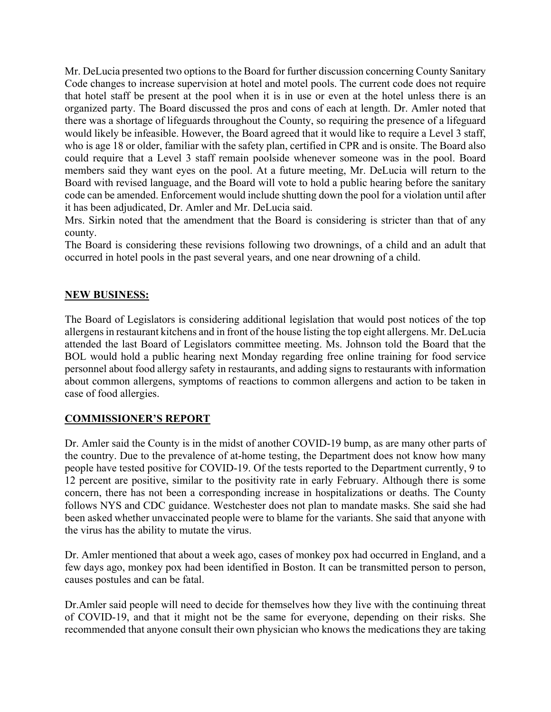Mr. DeLucia presented two options to the Board for further discussion concerning County Sanitary Code changes to increase supervision at hotel and motel pools. The current code does not require that hotel staff be present at the pool when it is in use or even at the hotel unless there is an organized party. The Board discussed the pros and cons of each at length. Dr. Amler noted that there was a shortage of lifeguards throughout the County, so requiring the presence of a lifeguard would likely be infeasible. However, the Board agreed that it would like to require a Level 3 staff, who is age 18 or older, familiar with the safety plan, certified in CPR and is onsite. The Board also could require that a Level 3 staff remain poolside whenever someone was in the pool. Board members said they want eyes on the pool. At a future meeting, Mr. DeLucia will return to the Board with revised language, and the Board will vote to hold a public hearing before the sanitary code can be amended. Enforcement would include shutting down the pool for a violation until after it has been adjudicated, Dr. Amler and Mr. DeLucia said.

Mrs. Sirkin noted that the amendment that the Board is considering is stricter than that of any county.

The Board is considering these revisions following two drownings, of a child and an adult that occurred in hotel pools in the past several years, and one near drowning of a child.

## **NEW BUSINESS:**

The Board of Legislators is considering additional legislation that would post notices of the top allergens in restaurant kitchens and in front of the house listing the top eight allergens. Mr. DeLucia attended the last Board of Legislators committee meeting. Ms. Johnson told the Board that the BOL would hold a public hearing next Monday regarding free online training for food service personnel about food allergy safety in restaurants, and adding signs to restaurants with information about common allergens, symptoms of reactions to common allergens and action to be taken in case of food allergies.

## **COMMISSIONER'S REPORT**

Dr. Amler said the County is in the midst of another COVID-19 bump, as are many other parts of the country. Due to the prevalence of at-home testing, the Department does not know how many people have tested positive for COVID-19. Of the tests reported to the Department currently, 9 to 12 percent are positive, similar to the positivity rate in early February. Although there is some concern, there has not been a corresponding increase in hospitalizations or deaths. The County follows NYS and CDC guidance. Westchester does not plan to mandate masks. She said she had been asked whether unvaccinated people were to blame for the variants. She said that anyone with the virus has the ability to mutate the virus.

Dr. Amler mentioned that about a week ago, cases of monkey pox had occurred in England, and a few days ago, monkey pox had been identified in Boston. It can be transmitted person to person, causes postules and can be fatal.

Dr.Amler said people will need to decide for themselves how they live with the continuing threat of COVID-19, and that it might not be the same for everyone, depending on their risks. She recommended that anyone consult their own physician who knows the medications they are taking